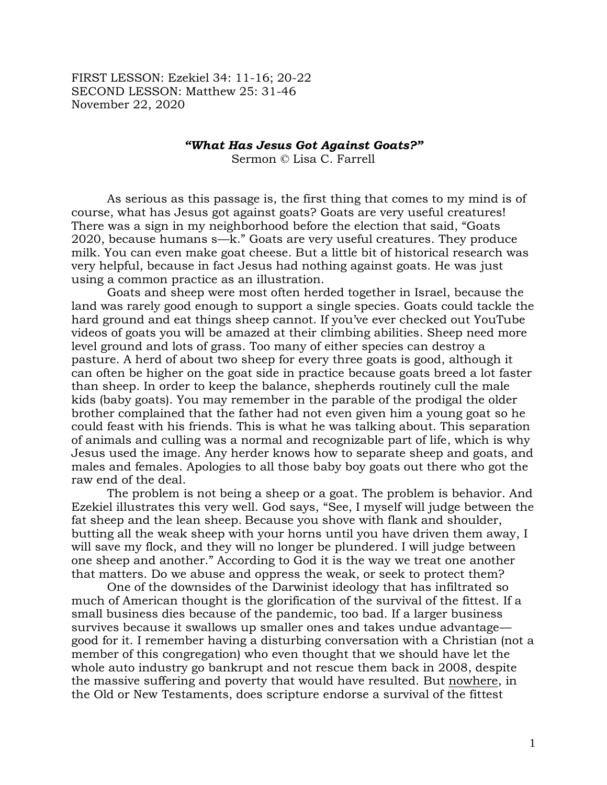FIRST LESSON: Ezekiel 34: 11-16; 20-22 SECOND LESSON: Matthew 25: 31-46 November 22, 2020

## *"What Has Jesus Got Against Goats?"*

Sermon © Lisa C. Farrell

As serious as this passage is, the first thing that comes to my mind is of course, what has Jesus got against goats? Goats are very useful creatures! There was a sign in my neighborhood before the election that said, "Goats 2020, because humans s—k." Goats are very useful creatures. They produce milk. You can even make goat cheese. But a little bit of historical research was very helpful, because in fact Jesus had nothing against goats. He was just using a common practice as an illustration.

Goats and sheep were most often herded together in Israel, because the land was rarely good enough to support a single species. Goats could tackle the hard ground and eat things sheep cannot. If you've ever checked out YouTube videos of goats you will be amazed at their climbing abilities. Sheep need more level ground and lots of grass. Too many of either species can destroy a pasture. A herd of about two sheep for every three goats is good, although it can often be higher on the goat side in practice because goats breed a lot faster than sheep. In order to keep the balance, shepherds routinely cull the male kids (baby goats). You may remember in the parable of the prodigal the older brother complained that the father had not even given him a young goat so he could feast with his friends. This is what he was talking about. This separation of animals and culling was a normal and recognizable part of life, which is why Jesus used the image. Any herder knows how to separate sheep and goats, and males and females. Apologies to all those baby boy goats out there who got the raw end of the deal.

The problem is not being a sheep or a goat. The problem is behavior. And Ezekiel illustrates this very well. God says, "See, I myself will judge between the fat sheep and the lean sheep. Because you shove with flank and shoulder, butting all the weak sheep with your horns until you have driven them away, I will save my flock, and they will no longer be plundered. I will judge between one sheep and another." According to God it is the way we treat one another that matters. Do we abuse and oppress the weak, or seek to protect them?

One of the downsides of the Darwinist ideology that has infiltrated so much of American thought is the glorification of the survival of the fittest. If a small business dies because of the pandemic, too bad. If a larger business survives because it swallows up smaller ones and takes undue advantage good for it. I remember having a disturbing conversation with a Christian (not a member of this congregation) who even thought that we should have let the whole auto industry go bankrupt and not rescue them back in 2008, despite the massive suffering and poverty that would have resulted. But nowhere, in the Old or New Testaments, does scripture endorse a survival of the fittest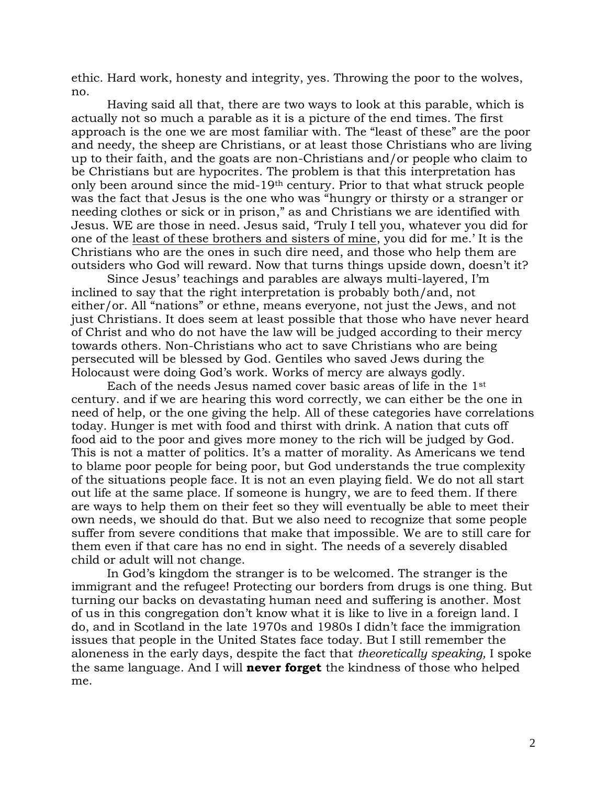ethic. Hard work, honesty and integrity, yes. Throwing the poor to the wolves, no.

Having said all that, there are two ways to look at this parable, which is actually not so much a parable as it is a picture of the end times. The first approach is the one we are most familiar with. The "least of these" are the poor and needy, the sheep are Christians, or at least those Christians who are living up to their faith, and the goats are non-Christians and/or people who claim to be Christians but are hypocrites. The problem is that this interpretation has only been around since the mid-19th century. Prior to that what struck people was the fact that Jesus is the one who was "hungry or thirsty or a stranger or needing clothes or sick or in prison," as and Christians we are identified with Jesus. WE are those in need. Jesus said, 'Truly I tell you, whatever you did for one of the least of these brothers and sisters of mine, you did for me.' It is the Christians who are the ones in such dire need, and those who help them are outsiders who God will reward. Now that turns things upside down, doesn't it?

Since Jesus' teachings and parables are always multi-layered, I'm inclined to say that the right interpretation is probably both/and, not either/or. All "nations" or ethne, means everyone, not just the Jews, and not just Christians. It does seem at least possible that those who have never heard of Christ and who do not have the law will be judged according to their mercy towards others. Non-Christians who act to save Christians who are being persecuted will be blessed by God. Gentiles who saved Jews during the Holocaust were doing God's work. Works of mercy are always godly.

Each of the needs Jesus named cover basic areas of life in the 1st century. and if we are hearing this word correctly, we can either be the one in need of help, or the one giving the help. All of these categories have correlations today. Hunger is met with food and thirst with drink. A nation that cuts off food aid to the poor and gives more money to the rich will be judged by God. This is not a matter of politics. It's a matter of morality. As Americans we tend to blame poor people for being poor, but God understands the true complexity of the situations people face. It is not an even playing field. We do not all start out life at the same place. If someone is hungry, we are to feed them. If there are ways to help them on their feet so they will eventually be able to meet their own needs, we should do that. But we also need to recognize that some people suffer from severe conditions that make that impossible. We are to still care for them even if that care has no end in sight. The needs of a severely disabled child or adult will not change.

In God's kingdom the stranger is to be welcomed. The stranger is the immigrant and the refugee! Protecting our borders from drugs is one thing. But turning our backs on devastating human need and suffering is another. Most of us in this congregation don't know what it is like to live in a foreign land. I do, and in Scotland in the late 1970s and 1980s I didn't face the immigration issues that people in the United States face today. But I still remember the aloneness in the early days, despite the fact that *theoretically speaking,* I spoke the same language. And I will **never forget** the kindness of those who helped me.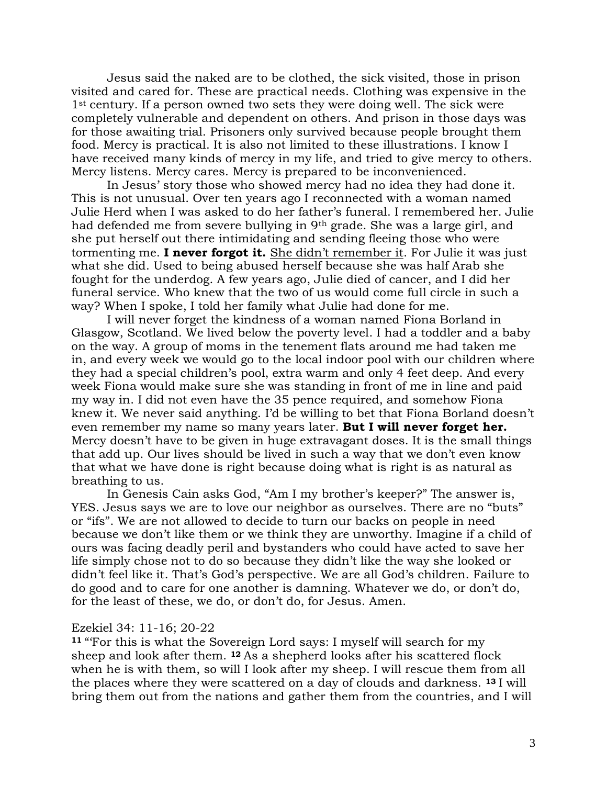Jesus said the naked are to be clothed, the sick visited, those in prison visited and cared for. These are practical needs. Clothing was expensive in the 1<sup>st</sup> century. If a person owned two sets they were doing well. The sick were completely vulnerable and dependent on others. And prison in those days was for those awaiting trial. Prisoners only survived because people brought them food. Mercy is practical. It is also not limited to these illustrations. I know I have received many kinds of mercy in my life, and tried to give mercy to others. Mercy listens. Mercy cares. Mercy is prepared to be inconvenienced.

In Jesus' story those who showed mercy had no idea they had done it. This is not unusual. Over ten years ago I reconnected with a woman named Julie Herd when I was asked to do her father's funeral. I remembered her. Julie had defended me from severe bullying in 9th grade. She was a large girl, and she put herself out there intimidating and sending fleeing those who were tormenting me. **I never forgot it.** She didn't remember it. For Julie it was just what she did. Used to being abused herself because she was half Arab she fought for the underdog. A few years ago, Julie died of cancer, and I did her funeral service. Who knew that the two of us would come full circle in such a way? When I spoke, I told her family what Julie had done for me.

I will never forget the kindness of a woman named Fiona Borland in Glasgow, Scotland. We lived below the poverty level. I had a toddler and a baby on the way. A group of moms in the tenement flats around me had taken me in, and every week we would go to the local indoor pool with our children where they had a special children's pool, extra warm and only 4 feet deep. And every week Fiona would make sure she was standing in front of me in line and paid my way in. I did not even have the 35 pence required, and somehow Fiona knew it. We never said anything. I'd be willing to bet that Fiona Borland doesn't even remember my name so many years later. **But I will never forget her.**  Mercy doesn't have to be given in huge extravagant doses. It is the small things that add up. Our lives should be lived in such a way that we don't even know that what we have done is right because doing what is right is as natural as breathing to us.

In Genesis Cain asks God, "Am I my brother's keeper?" The answer is, YES. Jesus says we are to love our neighbor as ourselves. There are no "buts" or "ifs". We are not allowed to decide to turn our backs on people in need because we don't like them or we think they are unworthy. Imagine if a child of ours was facing deadly peril and bystanders who could have acted to save her life simply chose not to do so because they didn't like the way she looked or didn't feel like it. That's God's perspective. We are all God's children. Failure to do good and to care for one another is damning. Whatever we do, or don't do, for the least of these, we do, or don't do, for Jesus. Amen.

## Ezekiel 34: 11-16; 20-22

**<sup>11</sup>** "'For this is what the Sovereign Lord says: I myself will search for my sheep and look after them. **<sup>12</sup>** As a shepherd looks after his scattered flock when he is with them, so will I look after my sheep. I will rescue them from all the places where they were scattered on a day of clouds and darkness. **<sup>13</sup>** I will bring them out from the nations and gather them from the countries, and I will